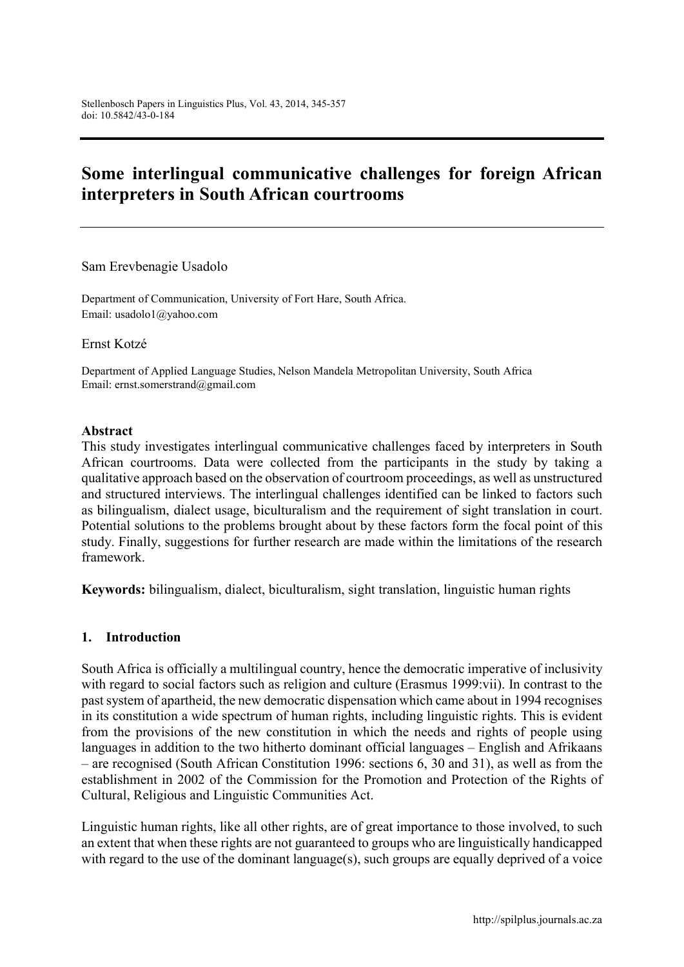# Some interlingual communicative challenges for foreign African interpreters in South African courtrooms

Sam Erevbenagie Usadolo

Department of Communication, University of Fort Hare, South Africa. Email: [usadolo1@yahoo.com](mailto:usadolo1@yahoo.com)

Ernst Kotzé

Department of Applied Language Studies, Nelson Mandela Metropolitan University, South Africa Email: [ernst.somerstrand@gmail.com](mailto:ernst.somerstrand@gmail.com)

#### Abstract

This study investigates interlingual communicative challenges faced by interpreters in South African courtrooms. Data were collected from the participants in the study by taking a qualitative approach based on the observation of courtroom proceedings, as well as unstructured and structured interviews. The interlingual challenges identified can be linked to factors such as bilingualism, dialect usage, biculturalism and the requirement of sight translation in court. Potential solutions to the problems brought about by these factors form the focal point of this study. Finally, suggestions for further research are made within the limitations of the research framework.

Keywords: bilingualism, dialect, biculturalism, sight translation, linguistic human rights

#### 1. Introduction

South Africa is officially a multilingual country, hence the democratic imperative of inclusivity with regard to social factors such as religion and culture (Erasmus 1999:vii). In contrast to the past system of apartheid, the new democratic dispensation which came about in 1994 recognises in its constitution a wide spectrum of human rights, including linguistic rights. This is evident from the provisions of the new constitution in which the needs and rights of people using languages in addition to the two hitherto dominant official languages – English and Afrikaans – are recognised (South African Constitution 1996: sections 6, 30 and 31), as well as from the establishment in 2002 of the Commission for the Promotion and Protection of the Rights of Cultural, Religious and Linguistic Communities Act.

Linguistic human rights, like all other rights, are of great importance to those involved, to such an extent that when these rights are not guaranteed to groups who are linguistically handicapped with regard to the use of the dominant language(s), such groups are equally deprived of a voice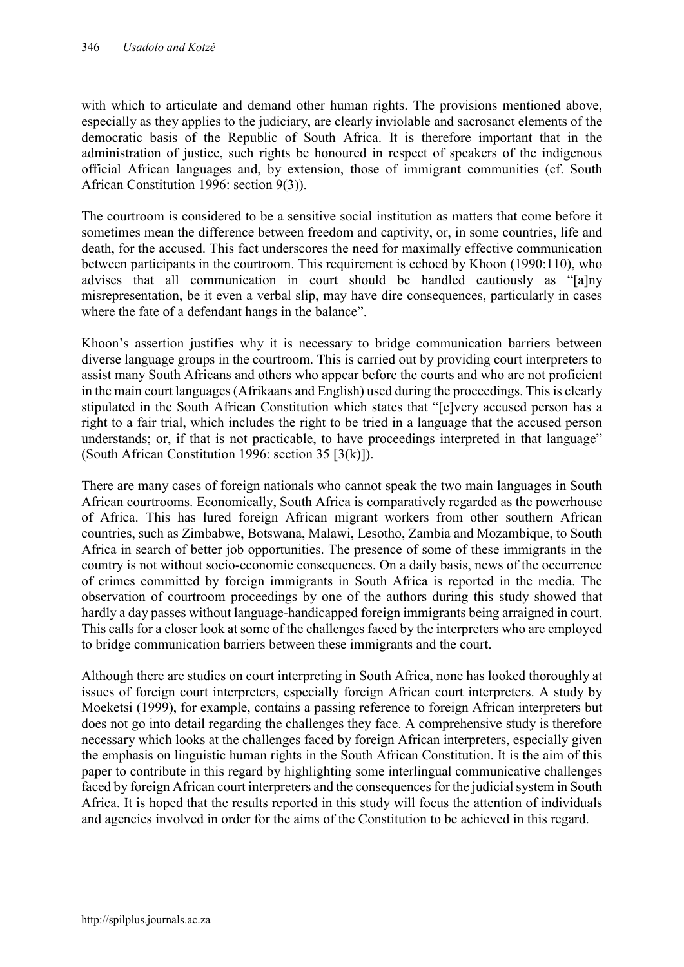with which to articulate and demand other human rights. The provisions mentioned above, especially as they applies to the judiciary, are clearly inviolable and sacrosanct elements of the democratic basis of the Republic of South Africa. It is therefore important that in the administration of justice, such rights be honoured in respect of speakers of the indigenous official African languages and, by extension, those of immigrant communities (cf. South African Constitution 1996: section 9(3)).

The courtroom is considered to be a sensitive social institution as matters that come before it sometimes mean the difference between freedom and captivity, or, in some countries, life and death, for the accused. This fact underscores the need for maximally effective communication between participants in the courtroom. This requirement is echoed by Khoon (1990:110), who advises that all communication in court should be handled cautiously as "[a]ny misrepresentation, be it even a verbal slip, may have dire consequences, particularly in cases where the fate of a defendant hangs in the balance".

Khoon's assertion justifies why it is necessary to bridge communication barriers between diverse language groups in the courtroom. This is carried out by providing court interpreters to assist many South Africans and others who appear before the courts and who are not proficient in the main court languages (Afrikaans and English) used during the proceedings. This is clearly stipulated in the South African Constitution which states that "[e]very accused person has a right to a fair trial, which includes the right to be tried in a language that the accused person understands; or, if that is not practicable, to have proceedings interpreted in that language" (South African Constitution 1996: section 35  $[3(k)]$ ).

There are many cases of foreign nationals who cannot speak the two main languages in South African courtrooms. Economically, South Africa is comparatively regarded as the powerhouse of Africa. This has lured foreign African migrant workers from other southern African countries, such as Zimbabwe, Botswana, Malawi, Lesotho, Zambia and Mozambique, to South Africa in search of better job opportunities. The presence of some of these immigrants in the country is not without socio-economic consequences. On a daily basis, news of the occurrence of crimes committed by foreign immigrants in South Africa is reported in the media. The observation of courtroom proceedings by one of the authors during this study showed that hardly a day passes without language-handicapped foreign immigrants being arraigned in court. This calls for a closer look at some of the challenges faced by the interpreters who are employed to bridge communication barriers between these immigrants and the court.

Although there are studies on court interpreting in South Africa, none has looked thoroughly at issues of foreign court interpreters, especially foreign African court interpreters. A study by Moeketsi (1999), for example, contains a passing reference to foreign African interpreters but does not go into detail regarding the challenges they face. A comprehensive study is therefore necessary which looks at the challenges faced by foreign African interpreters, especially given the emphasis on linguistic human rights in the South African Constitution. It is the aim of this paper to contribute in this regard by highlighting some interlingual communicative challenges faced by foreign African court interpreters and the consequences for the judicial system in South Africa. It is hoped that the results reported in this study will focus the attention of individuals and agencies involved in order for the aims of the Constitution to be achieved in this regard.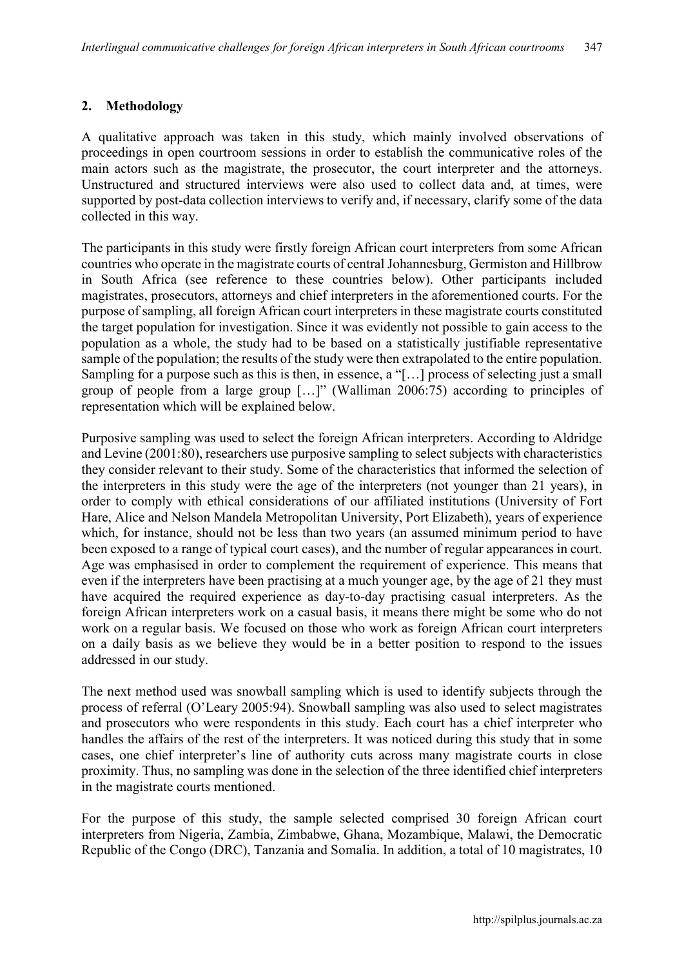#### 2. Methodology

A qualitative approach was taken in this study, which mainly involved observations of proceedings in open courtroom sessions in order to establish the communicative roles of the main actors such as the magistrate, the prosecutor, the court interpreter and the attorneys. Unstructured and structured interviews were also used to collect data and, at times, were supported by post-data collection interviews to verify and, if necessary, clarify some of the data collected in this way.

The participants in this study were firstly foreign African court interpreters from some African countries who operate in the magistrate courts of central Johannesburg, Germiston and Hillbrow in South Africa (see reference to these countries below). Other participants included magistrates, prosecutors, attorneys and chief interpreters in the aforementioned courts. For the purpose of sampling, all foreign African court interpreters in these magistrate courts constituted the target population for investigation. Since it was evidently not possible to gain access to the population as a whole, the study had to be based on a statistically justifiable representative sample of the population; the results of the study were then extrapolated to the entire population. Sampling for a purpose such as this is then, in essence, a "[…] process of selecting just a small group of people from a large group […]" (Walliman 2006:75) according to principles of representation which will be explained below.

Purposive sampling was used to select the foreign African interpreters. According to Aldridge and Levine (2001:80), researchers use purposive sampling to select subjects with characteristics they consider relevant to their study. Some of the characteristics that informed the selection of the interpreters in this study were the age of the interpreters (not younger than 21 years), in order to comply with ethical considerations of our affiliated institutions (University of Fort Hare, Alice and Nelson Mandela Metropolitan University, Port Elizabeth), years of experience which, for instance, should not be less than two years (an assumed minimum period to have been exposed to a range of typical court cases), and the number of regular appearances in court. Age was emphasised in order to complement the requirement of experience. This means that even if the interpreters have been practising at a much younger age, by the age of 21 they must have acquired the required experience as day-to-day practising casual interpreters. As the foreign African interpreters work on a casual basis, it means there might be some who do not work on a regular basis. We focused on those who work as foreign African court interpreters on a daily basis as we believe they would be in a better position to respond to the issues addressed in our study.

The next method used was snowball sampling which is used to identify subjects through the process of referral (O'Leary 2005:94). Snowball sampling was also used to select magistrates and prosecutors who were respondents in this study. Each court has a chief interpreter who handles the affairs of the rest of the interpreters. It was noticed during this study that in some cases, one chief interpreter's line of authority cuts across many magistrate courts in close proximity. Thus, no sampling was done in the selection of the three identified chief interpreters in the magistrate courts mentioned.

For the purpose of this study, the sample selected comprised 30 foreign African court interpreters from Nigeria, Zambia, Zimbabwe, Ghana, Mozambique, Malawi, the Democratic Republic of the Congo (DRC), Tanzania and Somalia. In addition, a total of 10 magistrates, 10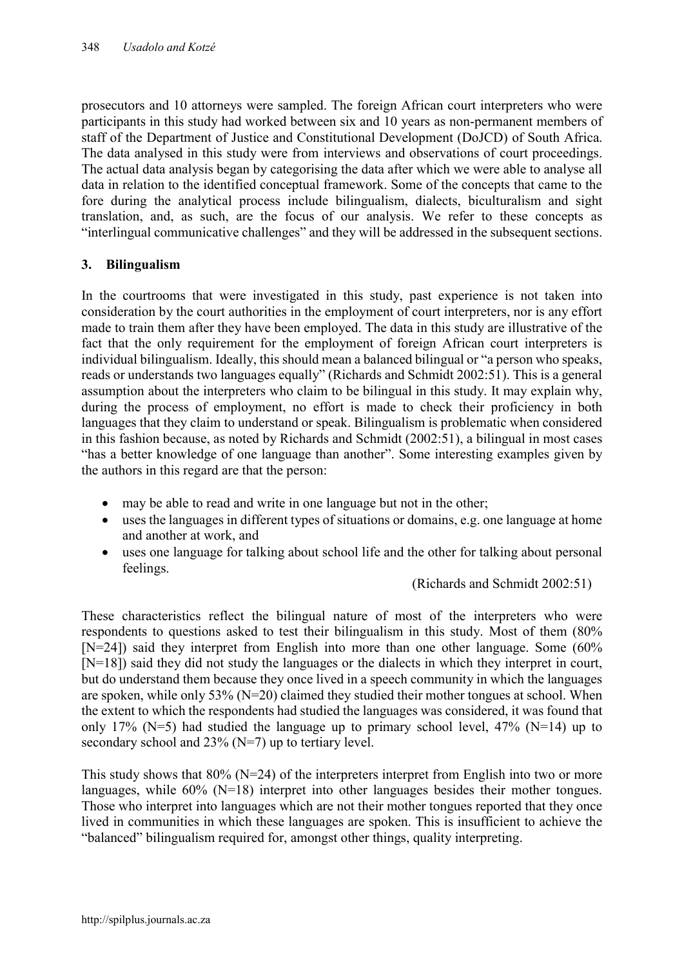prosecutors and 10 attorneys were sampled. The foreign African court interpreters who were participants in this study had worked between six and 10 years as non-permanent members of staff of the Department of Justice and Constitutional Development (DoJCD) of South Africa. The data analysed in this study were from interviews and observations of court proceedings. The actual data analysis began by categorising the data after which we were able to analyse all data in relation to the identified conceptual framework. Some of the concepts that came to the fore during the analytical process include bilingualism, dialects, biculturalism and sight translation, and, as such, are the focus of our analysis. We refer to these concepts as "interlingual communicative challenges" and they will be addressed in the subsequent sections.

#### 3. Bilingualism

In the courtrooms that were investigated in this study, past experience is not taken into consideration by the court authorities in the employment of court interpreters, nor is any effort made to train them after they have been employed. The data in this study are illustrative of the fact that the only requirement for the employment of foreign African court interpreters is individual bilingualism. Ideally, this should mean a balanced bilingual or "a person who speaks, reads or understands two languages equally" (Richards and Schmidt 2002:51). This is a general assumption about the interpreters who claim to be bilingual in this study. It may explain why, during the process of employment, no effort is made to check their proficiency in both languages that they claim to understand or speak. Bilingualism is problematic when considered in this fashion because, as noted by Richards and Schmidt (2002:51), a bilingual in most cases "has a better knowledge of one language than another". Some interesting examples given by the authors in this regard are that the person:

- may be able to read and write in one language but not in the other;
- uses the languages in different types of situations or domains, e.g. one language at home and another at work, and
- uses one language for talking about school life and the other for talking about personal feelings.

(Richards and Schmidt 2002:51)

These characteristics reflect the bilingual nature of most of the interpreters who were respondents to questions asked to test their bilingualism in this study. Most of them (80% [N=24]) said they interpret from English into more than one other language. Some (60% [N=18]) said they did not study the languages or the dialects in which they interpret in court, but do understand them because they once lived in a speech community in which the languages are spoken, while only 53% (N=20) claimed they studied their mother tongues at school. When the extent to which the respondents had studied the languages was considered, it was found that only 17% ( $N=5$ ) had studied the language up to primary school level, 47% ( $N=14$ ) up to secondary school and 23% (N=7) up to tertiary level.

This study shows that  $80\%$  (N=24) of the interpreters interpret from English into two or more languages, while 60% (N=18) interpret into other languages besides their mother tongues. Those who interpret into languages which are not their mother tongues reported that they once lived in communities in which these languages are spoken. This is insufficient to achieve the "balanced" bilingualism required for, amongst other things, quality interpreting.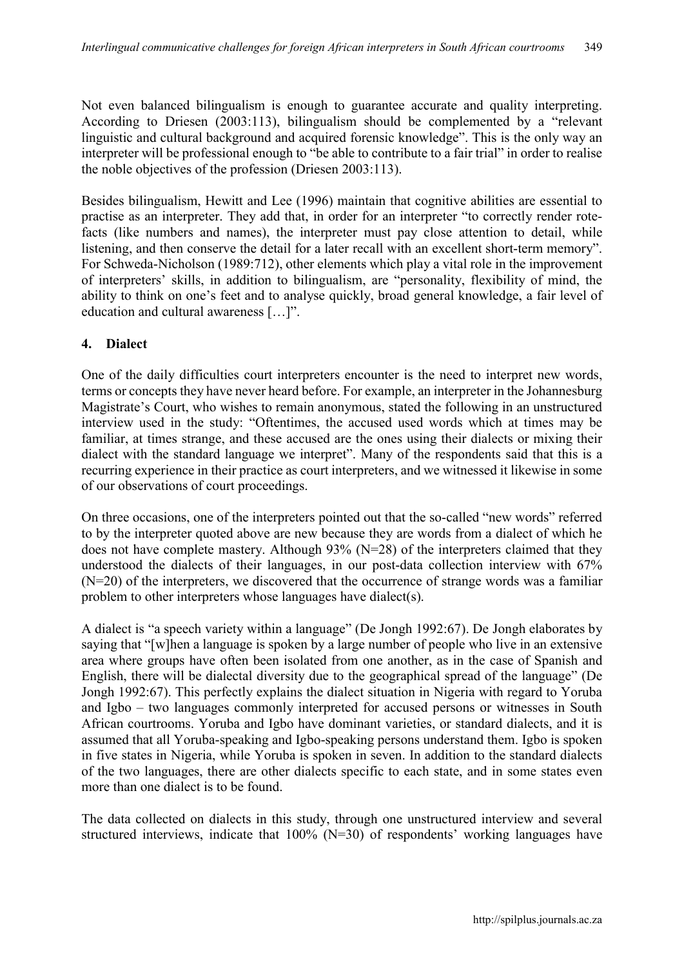Not even balanced bilingualism is enough to guarantee accurate and quality interpreting. According to Driesen (2003:113), bilingualism should be complemented by a "relevant linguistic and cultural background and acquired forensic knowledge". This is the only way an interpreter will be professional enough to "be able to contribute to a fair trial" in order to realise the noble objectives of the profession (Driesen 2003:113).

Besides bilingualism, Hewitt and Lee (1996) maintain that cognitive abilities are essential to practise as an interpreter. They add that, in order for an interpreter "to correctly render rotefacts (like numbers and names), the interpreter must pay close attention to detail, while listening, and then conserve the detail for a later recall with an excellent short-term memory". For Schweda-Nicholson (1989:712), other elements which play a vital role in the improvement of interpreters' skills, in addition to bilingualism, are "personality, flexibility of mind, the ability to think on one's feet and to analyse quickly, broad general knowledge, a fair level of education and cultural awareness […]".

#### 4. Dialect

One of the daily difficulties court interpreters encounter is the need to interpret new words, terms or concepts they have never heard before. For example, an interpreter in the Johannesburg Magistrate's Court, who wishes to remain anonymous, stated the following in an unstructured interview used in the study: "Oftentimes, the accused used words which at times may be familiar, at times strange, and these accused are the ones using their dialects or mixing their dialect with the standard language we interpret". Many of the respondents said that this is a recurring experience in their practice as court interpreters, and we witnessed it likewise in some of our observations of court proceedings.

On three occasions, one of the interpreters pointed out that the so-called "new words" referred to by the interpreter quoted above are new because they are words from a dialect of which he does not have complete mastery. Although 93% (N=28) of the interpreters claimed that they understood the dialects of their languages, in our post-data collection interview with 67%  $(N=20)$  of the interpreters, we discovered that the occurrence of strange words was a familiar problem to other interpreters whose languages have dialect(s).

A dialect is "a speech variety within a language" (De Jongh 1992:67). De Jongh elaborates by saying that "[w]hen a language is spoken by a large number of people who live in an extensive area where groups have often been isolated from one another, as in the case of Spanish and English, there will be dialectal diversity due to the geographical spread of the language" (De Jongh 1992:67). This perfectly explains the dialect situation in Nigeria with regard to Yoruba and Igbo – two languages commonly interpreted for accused persons or witnesses in South African courtrooms. Yoruba and Igbo have dominant varieties, or standard dialects, and it is assumed that all Yoruba-speaking and Igbo-speaking persons understand them. Igbo is spoken in five states in Nigeria, while Yoruba is spoken in seven. In addition to the standard dialects of the two languages, there are other dialects specific to each state, and in some states even more than one dialect is to be found.

The data collected on dialects in this study, through one unstructured interview and several structured interviews, indicate that 100% (N=30) of respondents' working languages have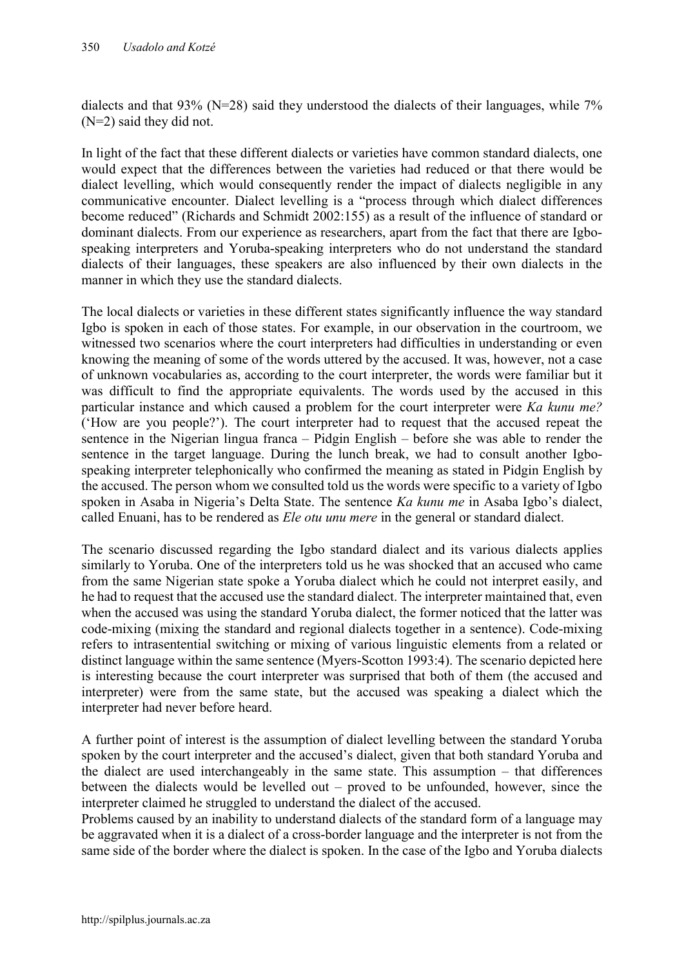dialects and that 93% (N=28) said they understood the dialects of their languages, while 7% (N=2) said they did not.

In light of the fact that these different dialects or varieties have common standard dialects, one would expect that the differences between the varieties had reduced or that there would be dialect levelling, which would consequently render the impact of dialects negligible in any communicative encounter. Dialect levelling is a "process through which dialect differences become reduced" (Richards and Schmidt 2002:155) as a result of the influence of standard or dominant dialects. From our experience as researchers, apart from the fact that there are Igbospeaking interpreters and Yoruba-speaking interpreters who do not understand the standard dialects of their languages, these speakers are also influenced by their own dialects in the manner in which they use the standard dialects.

The local dialects or varieties in these different states significantly influence the way standard Igbo is spoken in each of those states. For example, in our observation in the courtroom, we witnessed two scenarios where the court interpreters had difficulties in understanding or even knowing the meaning of some of the words uttered by the accused. It was, however, not a case of unknown vocabularies as, according to the court interpreter, the words were familiar but it was difficult to find the appropriate equivalents. The words used by the accused in this particular instance and which caused a problem for the court interpreter were *Ka kunu me?* ('How are you people?'). The court interpreter had to request that the accused repeat the sentence in the Nigerian lingua franca – Pidgin English – before she was able to render the sentence in the target language. During the lunch break, we had to consult another Igbospeaking interpreter telephonically who confirmed the meaning as stated in Pidgin English by the accused. The person whom we consulted told us the words were specific to a variety of Igbo spoken in Asaba in Nigeria's Delta State. The sentence *Ka kunu me* in Asaba Igbo's dialect, called Enuani, has to be rendered as *Ele otu unu mere* in the general or standard dialect.

The scenario discussed regarding the Igbo standard dialect and its various dialects applies similarly to Yoruba. One of the interpreters told us he was shocked that an accused who came from the same Nigerian state spoke a Yoruba dialect which he could not interpret easily, and he had to request that the accused use the standard dialect. The interpreter maintained that, even when the accused was using the standard Yoruba dialect, the former noticed that the latter was code-mixing (mixing the standard and regional dialects together in a sentence). Code-mixing refers to intrasentential switching or mixing of various linguistic elements from a related or distinct language within the same sentence (Myers-Scotton 1993:4). The scenario depicted here is interesting because the court interpreter was surprised that both of them (the accused and interpreter) were from the same state, but the accused was speaking a dialect which the interpreter had never before heard.

A further point of interest is the assumption of dialect levelling between the standard Yoruba spoken by the court interpreter and the accused's dialect, given that both standard Yoruba and the dialect are used interchangeably in the same state. This assumption – that differences between the dialects would be levelled out – proved to be unfounded, however, since the interpreter claimed he struggled to understand the dialect of the accused.

Problems caused by an inability to understand dialects of the standard form of a language may be aggravated when it is a dialect of a cross-border language and the interpreter is not from the same side of the border where the dialect is spoken. In the case of the Igbo and Yoruba dialects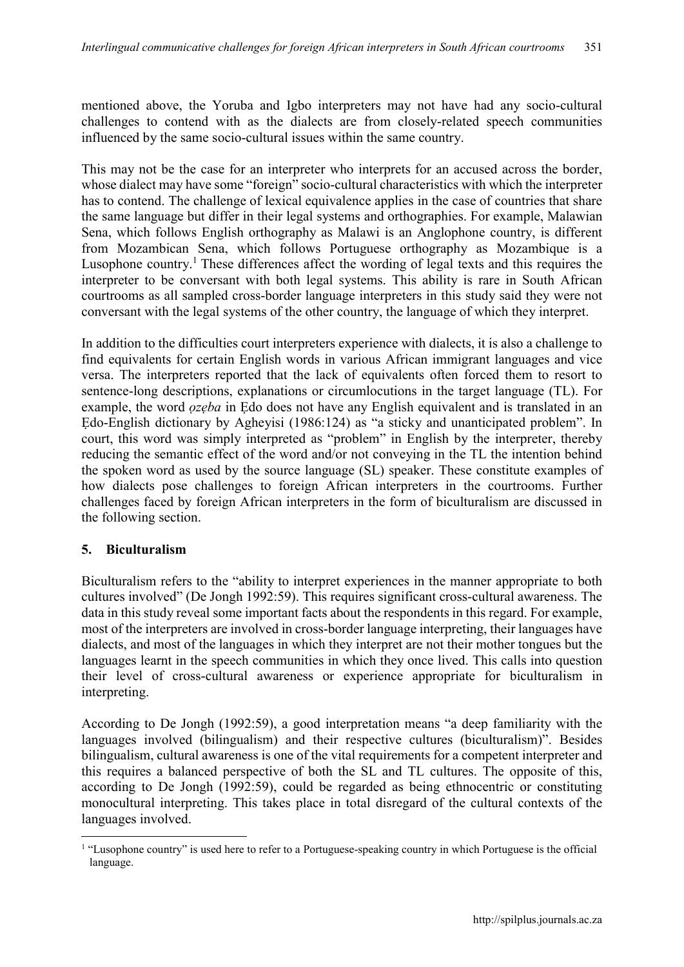mentioned above, the Yoruba and Igbo interpreters may not have had any socio-cultural challenges to contend with as the dialects are from closely-related speech communities influenced by the same socio-cultural issues within the same country.

This may not be the case for an interpreter who interprets for an accused across the border, whose dialect may have some "foreign" socio-cultural characteristics with which the interpreter has to contend. The challenge of lexical equivalence applies in the case of countries that share the same language but differ in their legal systems and orthographies. For example, Malawian Sena, which follows English orthography as Malawi is an Anglophone country, is different from Mozambican Sena, which follows Portuguese orthography as Mozambique is a Lusophone country. <sup>1</sup> These differences affect the wording of legal texts and this requires the interpreter to be conversant with both legal systems. This ability is rare in South African courtrooms as all sampled cross-border language interpreters in this study said they were not conversant with the legal systems of the other country, the language of which they interpret.

In addition to the difficulties court interpreters experience with dialects, it is also a challenge to find equivalents for certain English words in various African immigrant languages and vice versa. The interpreters reported that the lack of equivalents often forced them to resort to sentence-long descriptions, explanations or circumlocutions in the target language (TL). For example, the word *ozeba* in Edo does not have any English equivalent and is translated in an Edo-English dictionary by Agheyisi (1986:124) as "a sticky and unanticipated problem". In court, this word was simply interpreted as "problem" in English by the interpreter, thereby reducing the semantic effect of the word and/or not conveying in the TL the intention behind the spoken word as used by the source language (SL) speaker. These constitute examples of how dialects pose challenges to foreign African interpreters in the courtrooms. Further challenges faced by foreign African interpreters in the form of biculturalism are discussed in the following section.

# 5. Biculturalism

Biculturalism refers to the "ability to interpret experiences in the manner appropriate to both cultures involved" (De Jongh 1992:59). This requires significant cross-cultural awareness. The data in this study reveal some important facts about the respondents in this regard. For example, most of the interpreters are involved in cross-border language interpreting, their languages have dialects, and most of the languages in which they interpret are not their mother tongues but the languages learnt in the speech communities in which they once lived. This calls into question their level of cross-cultural awareness or experience appropriate for biculturalism in interpreting.

According to De Jongh (1992:59), a good interpretation means "a deep familiarity with the languages involved (bilingualism) and their respective cultures (biculturalism)". Besides bilingualism, cultural awareness is one of the vital requirements for a competent interpreter and this requires a balanced perspective of both the SL and TL cultures. The opposite of this, according to De Jongh (1992:59), could be regarded as being ethnocentric or constituting monocultural interpreting. This takes place in total disregard of the cultural contexts of the languages involved.

<sup>1</sup> <sup>1</sup> "Lusophone country" is used here to refer to a Portuguese-speaking country in which Portuguese is the official language.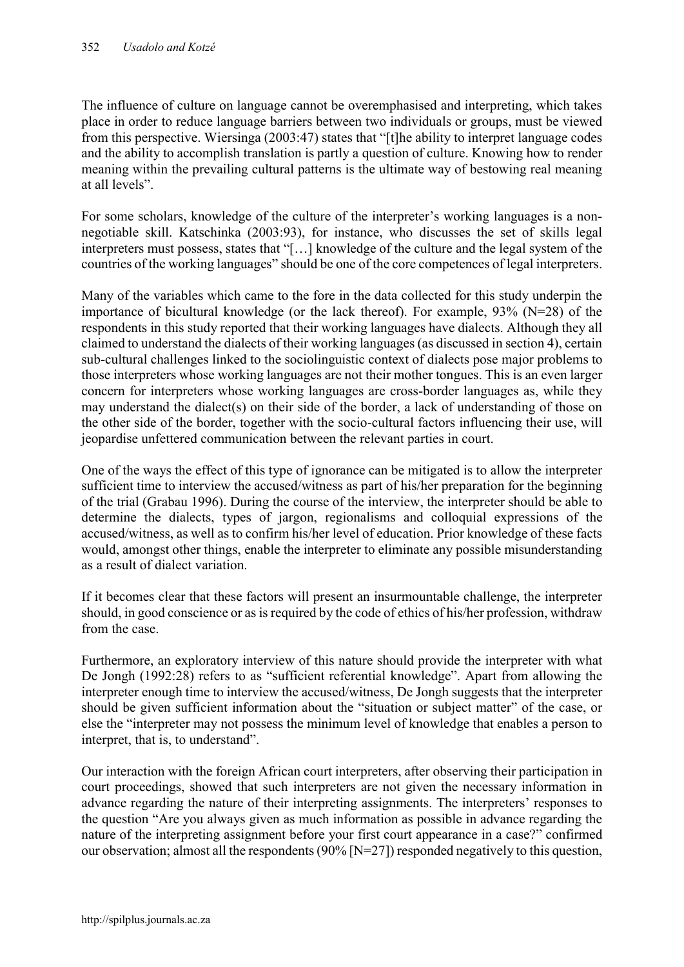The influence of culture on language cannot be overemphasised and interpreting, which takes place in order to reduce language barriers between two individuals or groups, must be viewed from this perspective. Wiersinga (2003:47) states that "[t]he ability to interpret language codes and the ability to accomplish translation is partly a question of culture. Knowing how to render meaning within the prevailing cultural patterns is the ultimate way of bestowing real meaning at all levels".

For some scholars, knowledge of the culture of the interpreter's working languages is a nonnegotiable skill. Katschinka (2003:93), for instance, who discusses the set of skills legal interpreters must possess, states that "[…] knowledge of the culture and the legal system of the countries of the working languages" should be one of the core competences of legal interpreters.

Many of the variables which came to the fore in the data collected for this study underpin the importance of bicultural knowledge (or the lack thereof). For example, 93% (N=28) of the respondents in this study reported that their working languages have dialects. Although they all claimed to understand the dialects of their working languages (as discussed in section 4), certain sub-cultural challenges linked to the sociolinguistic context of dialects pose major problems to those interpreters whose working languages are not their mother tongues. This is an even larger concern for interpreters whose working languages are cross-border languages as, while they may understand the dialect(s) on their side of the border, a lack of understanding of those on the other side of the border, together with the socio-cultural factors influencing their use, will jeopardise unfettered communication between the relevant parties in court.

One of the ways the effect of this type of ignorance can be mitigated is to allow the interpreter sufficient time to interview the accused/witness as part of his/her preparation for the beginning of the trial (Grabau 1996). During the course of the interview, the interpreter should be able to determine the dialects, types of jargon, regionalisms and colloquial expressions of the accused/witness, as well as to confirm his/her level of education. Prior knowledge of these facts would, amongst other things, enable the interpreter to eliminate any possible misunderstanding as a result of dialect variation.

If it becomes clear that these factors will present an insurmountable challenge, the interpreter should, in good conscience or as is required by the code of ethics of his/her profession, withdraw from the case.

Furthermore, an exploratory interview of this nature should provide the interpreter with what De Jongh (1992:28) refers to as "sufficient referential knowledge". Apart from allowing the interpreter enough time to interview the accused/witness, De Jongh suggests that the interpreter should be given sufficient information about the "situation or subject matter" of the case, or else the "interpreter may not possess the minimum level of knowledge that enables a person to interpret, that is, to understand".

Our interaction with the foreign African court interpreters, after observing their participation in court proceedings, showed that such interpreters are not given the necessary information in advance regarding the nature of their interpreting assignments. The interpreters' responses to the question "Are you always given as much information as possible in advance regarding the nature of the interpreting assignment before your first court appearance in a case?" confirmed our observation; almost all the respondents (90% [N=27]) responded negatively to this question,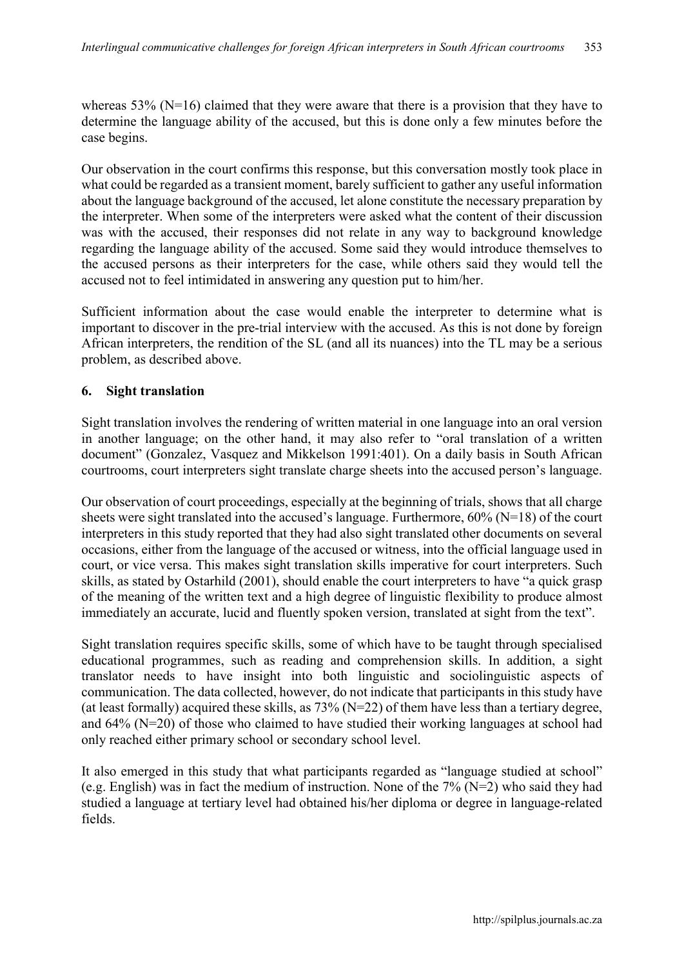whereas 53% (N=16) claimed that they were aware that there is a provision that they have to determine the language ability of the accused, but this is done only a few minutes before the case begins.

Our observation in the court confirms this response, but this conversation mostly took place in what could be regarded as a transient moment, barely sufficient to gather any useful information about the language background of the accused, let alone constitute the necessary preparation by the interpreter. When some of the interpreters were asked what the content of their discussion was with the accused, their responses did not relate in any way to background knowledge regarding the language ability of the accused. Some said they would introduce themselves to the accused persons as their interpreters for the case, while others said they would tell the accused not to feel intimidated in answering any question put to him/her.

Sufficient information about the case would enable the interpreter to determine what is important to discover in the pre-trial interview with the accused. As this is not done by foreign African interpreters, the rendition of the SL (and all its nuances) into the TL may be a serious problem, as described above.

# 6. Sight translation

Sight translation involves the rendering of written material in one language into an oral version in another language; on the other hand, it may also refer to "oral translation of a written document" (Gonzalez, Vasquez and Mikkelson 1991:401). On a daily basis in South African courtrooms, court interpreters sight translate charge sheets into the accused person's language.

Our observation of court proceedings, especially at the beginning of trials, shows that all charge sheets were sight translated into the accused's language. Furthermore, 60% (N=18) of the court interpreters in this study reported that they had also sight translated other documents on several occasions, either from the language of the accused or witness, into the official language used in court, or vice versa. This makes sight translation skills imperative for court interpreters. Such skills, as stated by Ostarhild (2001), should enable the court interpreters to have "a quick grasp of the meaning of the written text and a high degree of linguistic flexibility to produce almost immediately an accurate, lucid and fluently spoken version, translated at sight from the text".

Sight translation requires specific skills, some of which have to be taught through specialised educational programmes, such as reading and comprehension skills. In addition, a sight translator needs to have insight into both linguistic and sociolinguistic aspects of communication. The data collected, however, do not indicate that participants in this study have (at least formally) acquired these skills, as 73% (N=22) of them have less than a tertiary degree, and 64% (N=20) of those who claimed to have studied their working languages at school had only reached either primary school or secondary school level.

It also emerged in this study that what participants regarded as "language studied at school" (e.g. English) was in fact the medium of instruction. None of the 7% (N=2) who said they had studied a language at tertiary level had obtained his/her diploma or degree in language-related fields.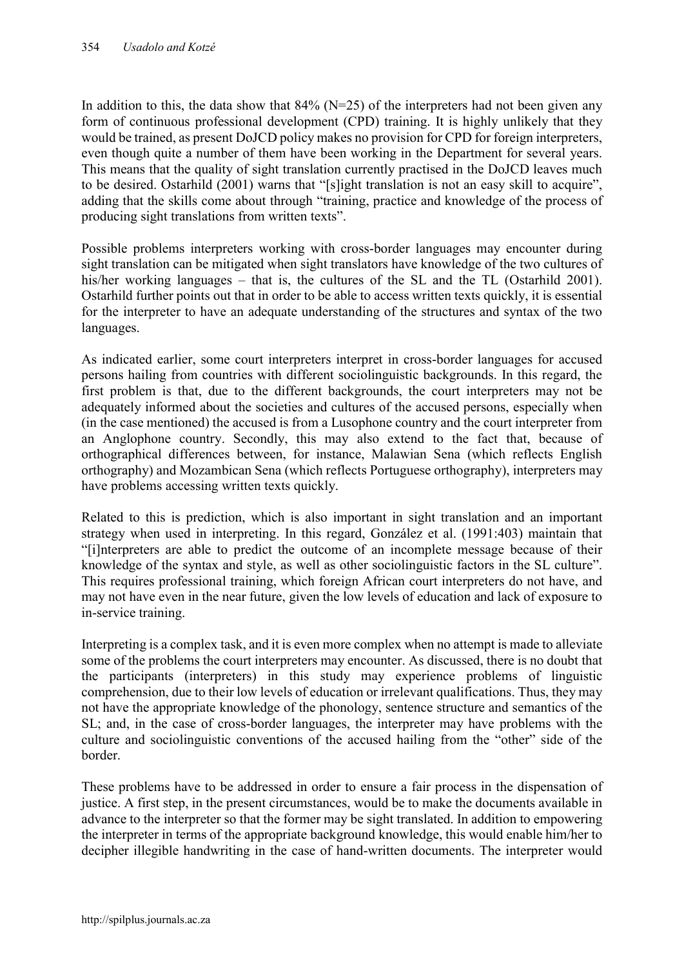In addition to this, the data show that  $84\%$  (N=25) of the interpreters had not been given any form of continuous professional development (CPD) training. It is highly unlikely that they would be trained, as present DoJCD policy makes no provision for CPD for foreign interpreters, even though quite a number of them have been working in the Department for several years. This means that the quality of sight translation currently practised in the DoJCD leaves much to be desired. Ostarhild (2001) warns that "[s]ight translation is not an easy skill to acquire", adding that the skills come about through "training, practice and knowledge of the process of producing sight translations from written texts".

Possible problems interpreters working with cross-border languages may encounter during sight translation can be mitigated when sight translators have knowledge of the two cultures of his/her working languages – that is, the cultures of the SL and the TL (Ostarhild 2001). Ostarhild further points out that in order to be able to access written texts quickly, it is essential for the interpreter to have an adequate understanding of the structures and syntax of the two languages.

As indicated earlier, some court interpreters interpret in cross-border languages for accused persons hailing from countries with different sociolinguistic backgrounds. In this regard, the first problem is that, due to the different backgrounds, the court interpreters may not be adequately informed about the societies and cultures of the accused persons, especially when (in the case mentioned) the accused is from a Lusophone country and the court interpreter from an Anglophone country. Secondly, this may also extend to the fact that, because of orthographical differences between, for instance, Malawian Sena (which reflects English orthography) and Mozambican Sena (which reflects Portuguese orthography), interpreters may have problems accessing written texts quickly.

Related to this is prediction, which is also important in sight translation and an important strategy when used in interpreting. In this regard, González et al. (1991:403) maintain that "[i]nterpreters are able to predict the outcome of an incomplete message because of their knowledge of the syntax and style, as well as other sociolinguistic factors in the SL culture". This requires professional training, which foreign African court interpreters do not have, and may not have even in the near future, given the low levels of education and lack of exposure to in-service training.

Interpreting is a complex task, and it is even more complex when no attempt is made to alleviate some of the problems the court interpreters may encounter. As discussed, there is no doubt that the participants (interpreters) in this study may experience problems of linguistic comprehension, due to their low levels of education or irrelevant qualifications. Thus, they may not have the appropriate knowledge of the phonology, sentence structure and semantics of the SL; and, in the case of cross-border languages, the interpreter may have problems with the culture and sociolinguistic conventions of the accused hailing from the "other" side of the border.

These problems have to be addressed in order to ensure a fair process in the dispensation of justice. A first step, in the present circumstances, would be to make the documents available in advance to the interpreter so that the former may be sight translated. In addition to empowering the interpreter in terms of the appropriate background knowledge, this would enable him/her to decipher illegible handwriting in the case of hand-written documents. The interpreter would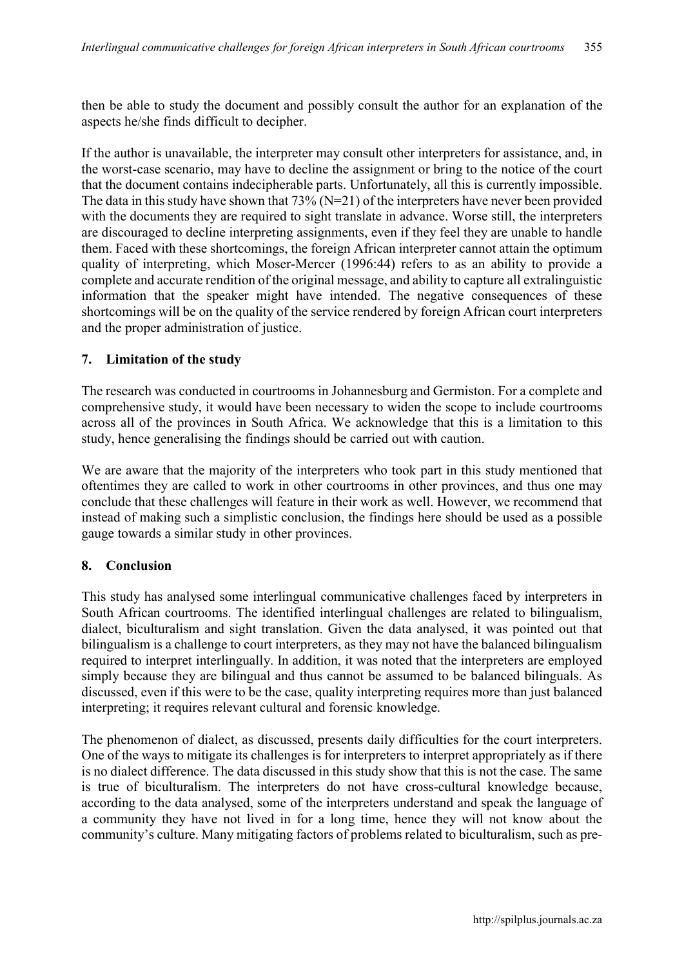then be able to study the document and possibly consult the author for an explanation of the aspects he/she finds difficult to decipher.

If the author is unavailable, the interpreter may consult other interpreters for assistance, and, in the worst-case scenario, may have to decline the assignment or bring to the notice of the court that the document contains indecipherable parts. Unfortunately, all this is currently impossible. The data in this study have shown that  $73\%$  (N=21) of the interpreters have never been provided with the documents they are required to sight translate in advance. Worse still, the interpreters are discouraged to decline interpreting assignments, even if they feel they are unable to handle them. Faced with these shortcomings, the foreign African interpreter cannot attain the optimum quality of interpreting, which Moser-Mercer (1996:44) refers to as an ability to provide a complete and accurate rendition of the original message, and ability to capture all extralinguistic information that the speaker might have intended. The negative consequences of these shortcomings will be on the quality of the service rendered by foreign African court interpreters and the proper administration of justice.

# 7. Limitation of the study

The research was conducted in courtrooms in Johannesburg and Germiston. For a complete and comprehensive study, it would have been necessary to widen the scope to include courtrooms across all of the provinces in South Africa. We acknowledge that this is a limitation to this study, hence generalising the findings should be carried out with caution.

We are aware that the majority of the interpreters who took part in this study mentioned that oftentimes they are called to work in other courtrooms in other provinces, and thus one may conclude that these challenges will feature in their work as well. However, we recommend that instead of making such a simplistic conclusion, the findings here should be used as a possible gauge towards a similar study in other provinces.

# 8. Conclusion

This study has analysed some interlingual communicative challenges faced by interpreters in South African courtrooms. The identified interlingual challenges are related to bilingualism, dialect, biculturalism and sight translation. Given the data analysed, it was pointed out that bilingualism is a challenge to court interpreters, as they may not have the balanced bilingualism required to interpret interlingually. In addition, it was noted that the interpreters are employed simply because they are bilingual and thus cannot be assumed to be balanced bilinguals. As discussed, even if this were to be the case, quality interpreting requires more than just balanced interpreting; it requires relevant cultural and forensic knowledge.

The phenomenon of dialect, as discussed, presents daily difficulties for the court interpreters. One of the ways to mitigate its challenges is for interpreters to interpret appropriately as if there is no dialect difference. The data discussed in this study show that this is not the case. The same is true of biculturalism. The interpreters do not have cross-cultural knowledge because, according to the data analysed, some of the interpreters understand and speak the language of a community they have not lived in for a long time, hence they will not know about the community's culture. Many mitigating factors of problems related to biculturalism, such as pre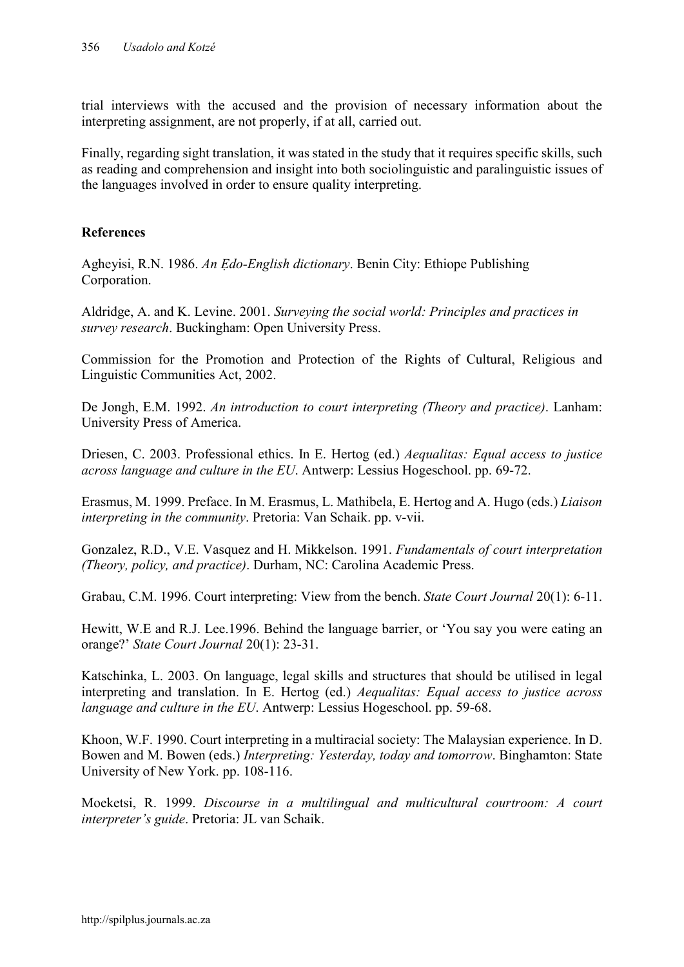trial interviews with the accused and the provision of necessary information about the interpreting assignment, are not properly, if at all, carried out.

Finally, regarding sight translation, it was stated in the study that it requires specific skills, such as reading and comprehension and insight into both sociolinguistic and paralinguistic issues of the languages involved in order to ensure quality interpreting.

# References

Agheyisi, R.N. 1986. *An Ẹdo-English dictionary*. Benin City: Ethiope Publishing Corporation.

Aldridge, A. and K. Levine. 2001. *Surveying the social world: Principles and practices in survey research*. Buckingham: Open University Press.

Commission for the Promotion and Protection of the Rights of Cultural, Religious and Linguistic Communities Act, 2002.

De Jongh, E.M. 1992. *An introduction to court interpreting (Theory and practice)*. Lanham: University Press of America.

Driesen, C. 2003. Professional ethics. In E. Hertog (ed.) *Aequalitas: Equal access to justice across language and culture in the EU*. Antwerp: Lessius Hogeschool. pp. 69-72.

Erasmus, M. 1999. Preface. In M. Erasmus, L. Mathibela, E. Hertog and A. Hugo (eds.) *Liaison interpreting in the community*. Pretoria: Van Schaik. pp. v-vii.

Gonzalez, R.D., V.E. Vasquez and H. Mikkelson. 1991. *Fundamentals of court interpretation (Theory, policy, and practice)*. Durham, NC: Carolina Academic Press.

Grabau, C.M. 1996. Court interpreting: View from the bench. *State Court Journal* 20(1): 6-11.

Hewitt, W.E and R.J. Lee.1996. Behind the language barrier, or 'You say you were eating an orange?' *State Court Journal* 20(1): 23-31.

Katschinka, L. 2003. On language, legal skills and structures that should be utilised in legal interpreting and translation. In E. Hertog (ed.) *Aequalitas: Equal access to justice across language and culture in the EU*. Antwerp: Lessius Hogeschool. pp. 59-68.

Khoon, W.F. 1990. Court interpreting in a multiracial society: The Malaysian experience. In D. Bowen and M. Bowen (eds.) *Interpreting: Yesterday, today and tomorrow*. Binghamton: State University of New York. pp. 108-116.

Moeketsi, R. 1999. *Discourse in a multilingual and multicultural courtroom: A court interpreter's guide*. Pretoria: JL van Schaik.